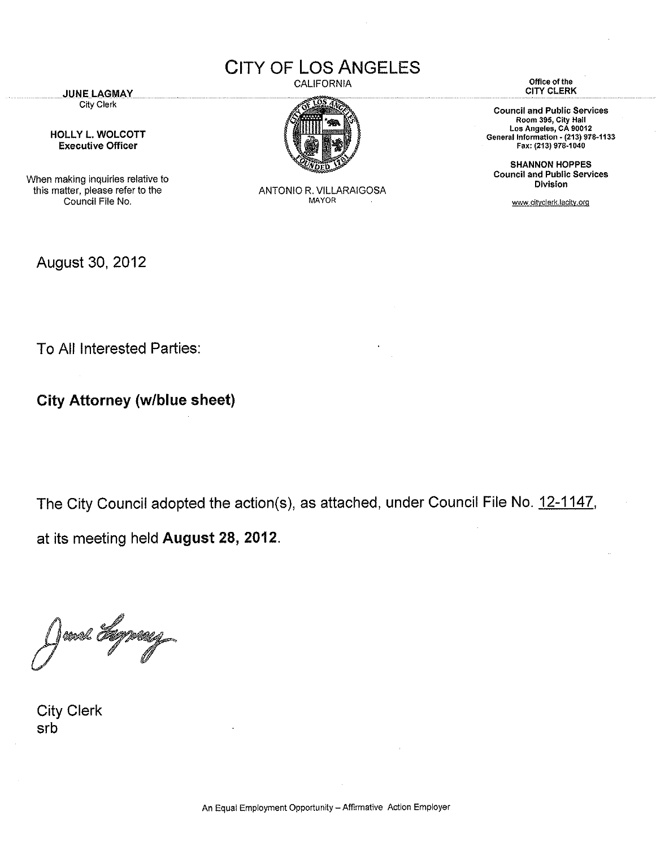CITY OF **LOS** ANGELES

CALIFORNIA  $\cos \chi$ 

**JUNE LAGMAY** City Clerk

HOLLY L. WOLCOTT Executive Officer

When making inquiries relative to this matter, please refer to the Council File No.

August 30, 2012

ANTONIO R. VILLARAIGOSA MAYOR

**Office of the**  CITY CLERK

**Council and Public Services Room 395, City Hall Los Angeles, CA 90012 General Information - (213) 978-1133** Fax: (213) 978-1040

SHANNON HOPPES **Council and Public Services Division** 

www.cityclerk.lacity.org

To All Interested Parties:

**City Attorney (w/blue sheet)** 

The City Council adopted the action(s), as attached, under Council File No. 12-1147, at its meeting held **August 28, 2012.** 

rool A

City Clerk srb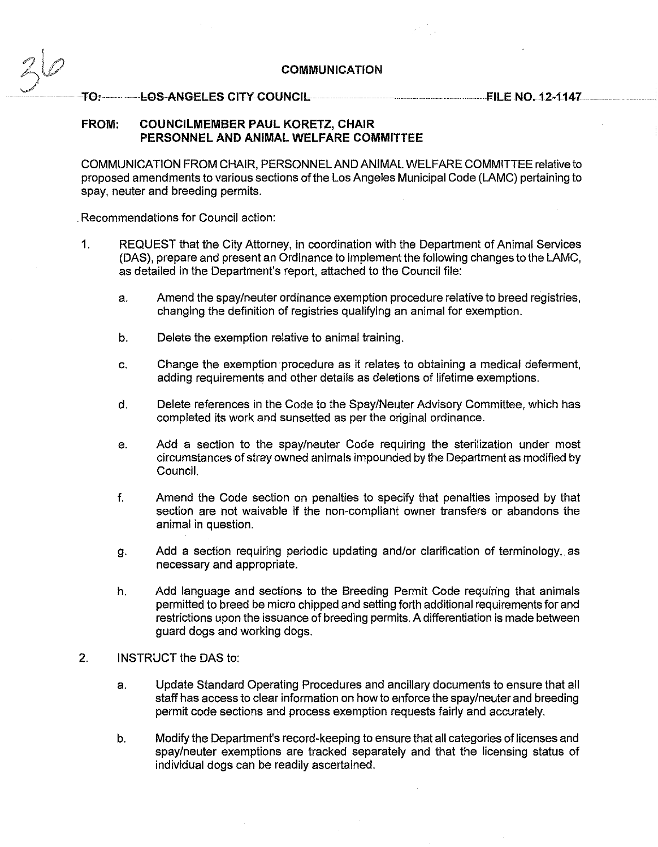## **COMMUNICATION**

## ·· **T0: LOS ANGELES CITY COUNCIL**

**FILE N0.12-1147** 

## **FROM: COUNCILMEMBER PAUL KORETZ, CHAIR PERSONNEL AND ANIMAL WELFARE COMMITTEE**

COMMUNICATION FROM CHAIR, PERSONNEL AND ANIMAL WELFARE COMMITTEE relative to proposed amendments to various sections of the Los Angeles Municipal Code (LAMC) pertaining to spay, neuter and breeding permits.

Recommendations for Council action:

- 1. REQUEST that the City Attorney, in coordination with the Department of Animal Services (DAS), prepare and present an Ordinance to implement the following changes to the LAMC, as detailed in the Department's report, attached to the Council file:
	- a. Amend the spay/neuter ordinance exemption procedure relative to breed registries, changing the definition of registries qualifying an animal for exemption.
	- b. Delete the exemption relative to animal training.
	- c. Change the exemption procedure as it relates to obtaining a medical deferment, adding requirements and other details as deletions of lifetime exemptions.
	- d. Delete references in the Code to the Spay/Neuter Advisory Committee, which has completed its work and sunsetted as per the original ordinance.
	- e. Add a section to the spay/neuter Code requiring the sterilization under most circumstances of stray owned animals impounded by the Department as modified by Council.
	- f. Amend the Code section on penalties to specify that penalties imposed by that section are not waivable if the non-compliant owner transfers or abandons the animal in question.
	- g. Add a section requiring periodic updating and/or clarification of terminology, as necessary and appropriate.
	- h. Add language and sections to the Breeding Permit Code requiring that animals permitted to breed be micro chipped and setting forth additional requirements for and restrictions upon the issuance of breeding permits. A differentiation is made between guard dogs and working dogs.
- 2. INSTRUCT the DAS to:
	- a. Update Standard Operating Procedures and ancillary documents to ensure that all staff has access to clear information on how to enforce the spay/neuter and breeding permit code sections and process exemption requests fairly and accurately.
	- b. Modify the Department's record-keeping to ensure that all categories of licenses and spay/neuter exemptions are tracked separately and that the licensing status of individual dogs can be readily ascertained.